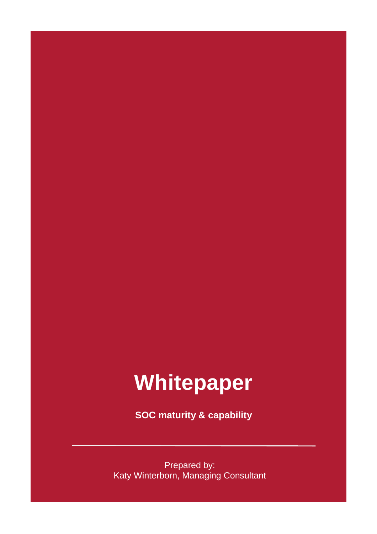## **Whitepaper**

**SOC maturity & capability**

Prepared by: Katy Winterborn, Managing Consultant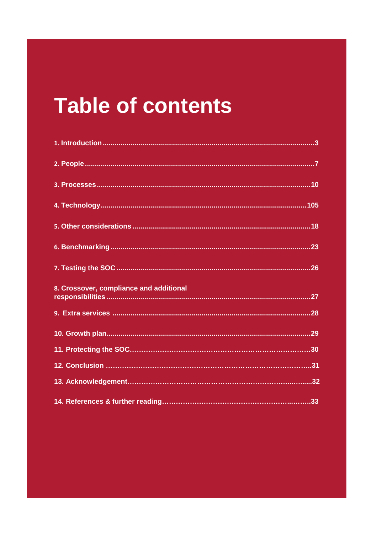## **Table of contents**

| 8. Crossover, compliance and additional |
|-----------------------------------------|
|                                         |
|                                         |
|                                         |
|                                         |
|                                         |
|                                         |
|                                         |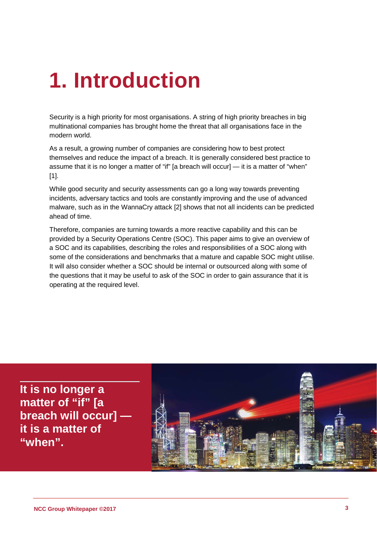## <span id="page-2-0"></span>**1. Introduction**

Security is a high priority for most organisations. A string of high priority breaches in big multinational companies has brought home the threat that all organisations face in the modern world.

As a result, a growing number of companies are considering how to best protect themselves and reduce the impact of a breach. It is generally considered best practice to assume that it is no longer a matter of "if" [a breach will occur] — it is a matter of "when" [1].

While good security and security assessments can go a long way towards preventing incidents, adversary tactics and tools are constantly improving and the use of advanced malware, such as in the WannaCry attack [2] shows that not all incidents can be predicted ahead of time.

Therefore, companies are turning towards a more reactive capability and this can be provided by a Security Operations Centre (SOC). This paper aims to give an overview of a SOC and its capabilities, describing the roles and responsibilities of a SOC along with some of the considerations and benchmarks that a mature and capable SOC might utilise. It will also consider whether a SOC should be internal or outsourced along with some of the questions that it may be useful to ask of the SOC in order to gain assurance that it is operating at the required level.

**It is no longer a matter of "if" [a breach will occur] it is a matter of "when".** 

<span id="page-2-1"></span>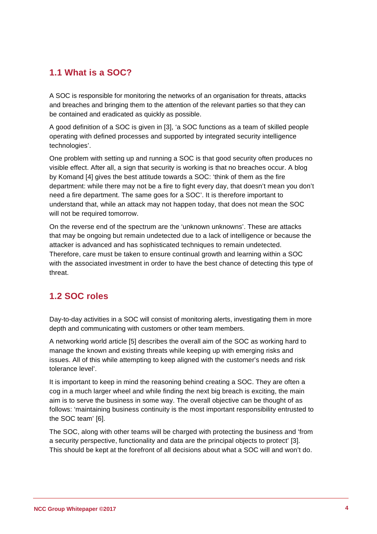### **1.1 What is a SOC?**

A SOC is responsible for monitoring the networks of an organisation for threats, attacks and breaches and bringing them to the attention of the relevant parties so that they can be contained and eradicated as quickly as possible.

A good definition of a SOC is given in [3], 'a SOC functions as a team of skilled people operating with defined processes and supported by integrated security intelligence technologies'.

One problem with setting up and running a SOC is that good security often produces no visible effect. After all, a sign that security is working is that no breaches occur. A blog by Komand [4] gives the best attitude towards a SOC: 'think of them as the fire department: while there may not be a fire to fight every day, that doesn't mean you don't need a fire department. The same goes for a SOC'. It is therefore important to understand that, while an attack may not happen today, that does not mean the SOC will not be required tomorrow.

On the reverse end of the spectrum are the 'unknown unknowns'. These are attacks that may be ongoing but remain undetected due to a lack of intelligence or because the attacker is advanced and has sophisticated techniques to remain undetected. Therefore, care must be taken to ensure continual growth and learning within a SOC with the associated investment in order to have the best chance of detecting this type of threat.

### **1.2 SOC roles**

Day-to-day activities in a SOC will consist of monitoring alerts, investigating them in more depth and communicating with customers or other team members.

A networking world article [5] describes the overall aim of the SOC as working hard to manage the known and existing threats while keeping up with emerging risks and issues. All of this while attempting to keep aligned with the customer's needs and risk tolerance level'.

It is important to keep in mind the reasoning behind creating a SOC. They are often a cog in a much larger wheel and while finding the next big breach is exciting, the main aim is to serve the business in some way. The overall objective can be thought of as follows: 'maintaining business continuity is the most important responsibility entrusted to the SOC team' [6].

The SOC, along with other teams will be charged with protecting the business and 'from a security perspective, functionality and data are the principal objects to protect' [3]. This should be kept at the forefront of all decisions about what a SOC will and won't do.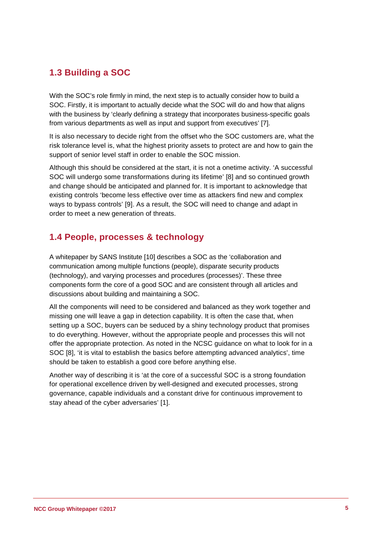### **1.3 Building a SOC**

With the SOC's role firmly in mind, the next step is to actually consider how to build a SOC. Firstly, it is important to actually decide what the SOC will do and how that aligns with the business by 'clearly defining a strategy that incorporates business-specific goals from various departments as well as input and support from executives' [7].

It is also necessary to decide right from the offset who the SOC customers are, what the risk tolerance level is, what the highest priority assets to protect are and how to gain the support of senior level staff in order to enable the SOC mission.

Although this should be considered at the start, it is not a onetime activity. 'A successful SOC will undergo some transformations during its lifetime' [8] and so continued growth and change should be anticipated and planned for. It is important to acknowledge that existing controls 'become less effective over time as attackers find new and complex ways to bypass controls' [9]. As a result, the SOC will need to change and adapt in order to meet a new generation of threats.

### **1.4 People, processes & technology**

A whitepaper by SANS Institute [10] describes a SOC as the 'collaboration and communication among multiple functions (people), disparate security products (technology), and varying processes and procedures (processes)'. These three components form the core of a good SOC and are consistent through all articles and discussions about building and maintaining a SOC.

All the components will need to be considered and balanced as they work together and missing one will leave a gap in detection capability. It is often the case that, when setting up a SOC, buyers can be seduced by a shiny technology product that promises to do everything. However, without the appropriate people and processes this will not offer the appropriate protection. As noted in the NCSC guidance on what to look for in a SOC [8], 'it is vital to establish the basics before attempting advanced analytics', time should be taken to establish a good core before anything else.

Another way of describing it is 'at the core of a successful SOC is a strong foundation for operational excellence driven by well-designed and executed processes, strong governance, capable individuals and a constant drive for continuous improvement to stay ahead of the cyber adversaries' [1].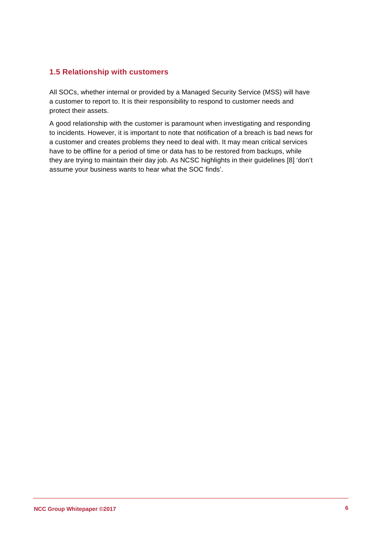#### **1.5 Relationship with customers**

All SOCs, whether internal or provided by a Managed Security Service (MSS) will have a customer to report to. It is their responsibility to respond to customer needs and protect their assets.

A good relationship with the customer is paramount when investigating and responding to incidents. However, it is important to note that notification of a breach is bad news for a customer and creates problems they need to deal with. It may mean critical services have to be offline for a period of time or data has to be restored from backups, while they are trying to maintain their day job. As NCSC highlights in their guidelines [8] 'don't assume your business wants to hear what the SOC finds'.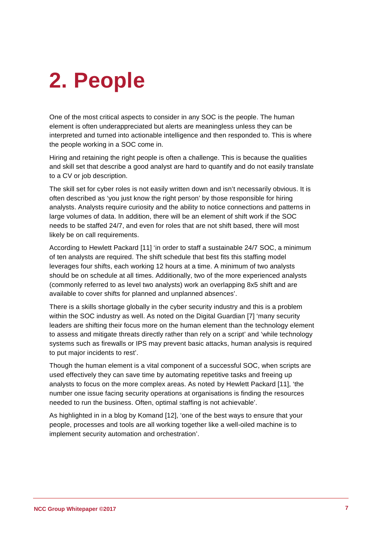# <span id="page-6-0"></span>**2. People**

One of the most critical aspects to consider in any SOC is the people. The human element is often underappreciated but alerts are meaningless unless they can be interpreted and turned into actionable intelligence and then responded to. This is where the people working in a SOC come in.

Hiring and retaining the right people is often a challenge. This is because the qualities and skill set that describe a good analyst are hard to quantify and do not easily translate to a CV or job description.

The skill set for cyber roles is not easily written down and isn't necessarily obvious. It is often described as 'you just know the right person' by those responsible for hiring analysts. Analysts require curiosity and the ability to notice connections and patterns in large volumes of data. In addition, there will be an element of shift work if the SOC needs to be staffed 24/7, and even for roles that are not shift based, there will most likely be on call requirements.

According to Hewlett Packard [11] 'in order to staff a sustainable 24/7 SOC, a minimum of ten analysts are required. The shift schedule that best fits this staffing model leverages four shifts, each working 12 hours at a time. A minimum of two analysts should be on schedule at all times. Additionally, two of the more experienced analysts (commonly referred to as level two analysts) work an overlapping 8x5 shift and are available to cover shifts for planned and unplanned absences'.

There is a skills shortage globally in the cyber security industry and this is a problem within the SOC industry as well. As noted on the Digital Guardian [7] 'many security leaders are shifting their focus more on the human element than the technology element to assess and mitigate threats directly rather than rely on a script' and 'while technology systems such as firewalls or IPS may prevent basic attacks, human analysis is required to put major incidents to rest'.

Though the human element is a vital component of a successful SOC, when scripts are used effectively they can save time by automating repetitive tasks and freeing up analysts to focus on the more complex areas. As noted by Hewlett Packard [11], 'the number one issue facing security operations at organisations is finding the resources needed to run the business. Often, optimal staffing is not achievable'.

As highlighted in in a blog by Komand [12], 'one of the best ways to ensure that your people, processes and tools are all working together like a well-oiled machine is to implement security automation and orchestration'.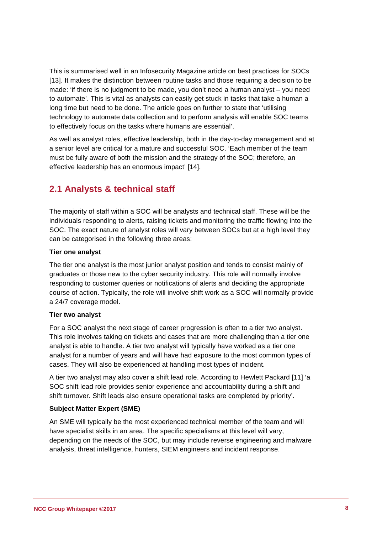This is summarised well in an Infosecurity Magazine article on best practices for SOCs [13]. It makes the distinction between routine tasks and those requiring a decision to be made: 'if there is no judgment to be made, you don't need a human analyst – you need to automate'. This is vital as analysts can easily get stuck in tasks that take a human a long time but need to be done. The article goes on further to state that 'utilising technology to automate data collection and to perform analysis will enable SOC teams to effectively focus on the tasks where humans are essential'.

As well as analyst roles, effective leadership, both in the day-to-day management and at a senior level are critical for a mature and successful SOC. 'Each member of the team must be fully aware of both the mission and the strategy of the SOC; therefore, an effective leadership has an enormous impact' [14].

### **2.1 Analysts & technical staff**

The majority of staff within a SOC will be analysts and technical staff. These will be the individuals responding to alerts, raising tickets and monitoring the traffic flowing into the SOC. The exact nature of analyst roles will vary between SOCs but at a high level they can be categorised in the following three areas:

#### **Tier one analyst**

The tier one analyst is the most junior analyst position and tends to consist mainly of graduates or those new to the cyber security industry. This role will normally involve responding to customer queries or notifications of alerts and deciding the appropriate course of action. Typically, the role will involve shift work as a SOC will normally provide a 24/7 coverage model.

#### **Tier two analyst**

For a SOC analyst the next stage of career progression is often to a tier two analyst. This role involves taking on tickets and cases that are more challenging than a tier one analyst is able to handle. A tier two analyst will typically have worked as a tier one analyst for a number of years and will have had exposure to the most common types of cases. They will also be experienced at handling most types of incident.

A tier two analyst may also cover a shift lead role. According to Hewlett Packard [11] 'a SOC shift lead role provides senior experience and accountability during a shift and shift turnover. Shift leads also ensure operational tasks are completed by priority'.

#### **Subject Matter Expert (SME)**

An SME will typically be the most experienced technical member of the team and will have specialist skills in an area. The specific specialisms at this level will vary, depending on the needs of the SOC, but may include reverse engineering and malware analysis, threat intelligence, hunters, SIEM engineers and incident response.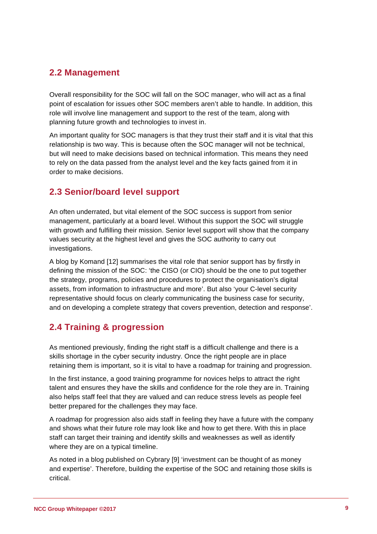### **2.2 Management**

Overall responsibility for the SOC will fall on the SOC manager, who will act as a final point of escalation for issues other SOC members aren't able to handle. In addition, this role will involve line management and support to the rest of the team, along with planning future growth and technologies to invest in.

An important quality for SOC managers is that they trust their staff and it is vital that this relationship is two way. This is because often the SOC manager will not be technical, but will need to make decisions based on technical information. This means they need to rely on the data passed from the analyst level and the key facts gained from it in order to make decisions.

### **2.3 Senior/board level support**

An often underrated, but vital element of the SOC success is support from senior management, particularly at a board level. Without this support the SOC will struggle with growth and fulfilling their mission. Senior level support will show that the company values security at the highest level and gives the SOC authority to carry out investigations.

A blog by Komand [12] summarises the vital role that senior support has by firstly in defining the mission of the SOC: 'the CISO (or CIO) should be the one to put together the strategy, programs, policies and procedures to protect the organisation's digital assets, from information to infrastructure and more'. But also 'your C-level security representative should focus on clearly communicating the business case for security, and on developing a complete strategy that covers prevention, detection and response'.

### **2.4 Training & progression**

As mentioned previously, finding the right staff is a difficult challenge and there is a skills shortage in the cyber security industry. Once the right people are in place retaining them is important, so it is vital to have a roadmap for training and progression.

In the first instance, a good training programme for novices helps to attract the right talent and ensures they have the skills and confidence for the role they are in. Training also helps staff feel that they are valued and can reduce stress levels as people feel better prepared for the challenges they may face.

A roadmap for progression also aids staff in feeling they have a future with the company and shows what their future role may look like and how to get there. With this in place staff can target their training and identify skills and weaknesses as well as identify where they are on a typical timeline.

As noted in a blog published on Cybrary [9] 'investment can be thought of as money and expertise'. Therefore, building the expertise of the SOC and retaining those skills is critical.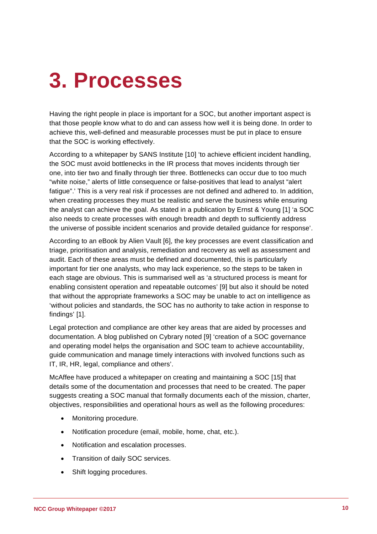## <span id="page-9-0"></span>**3. Processes**

Having the right people in place is important for a SOC, but another important aspect is that those people know what to do and can assess how well it is being done. In order to achieve this, well-defined and measurable processes must be put in place to ensure that the SOC is working effectively.

According to a whitepaper by SANS Institute [10] 'to achieve efficient incident handling, the SOC must avoid bottlenecks in the IR process that moves incidents through tier one, into tier two and finally through tier three. Bottlenecks can occur due to too much "white noise," alerts of little consequence or false-positives that lead to analyst "alert fatigue".' This is a very real risk if processes are not defined and adhered to. In addition, when creating processes they must be realistic and serve the business while ensuring the analyst can achieve the goal. As stated in a publication by Ernst & Young [1] 'a SOC also needs to create processes with enough breadth and depth to sufficiently address the universe of possible incident scenarios and provide detailed guidance for response'.

According to an eBook by Alien Vault [6], the key processes are event classification and triage, prioritisation and analysis, remediation and recovery as well as assessment and audit. Each of these areas must be defined and documented, this is particularly important for tier one analysts, who may lack experience, so the steps to be taken in each stage are obvious. This is summarised well as 'a structured process is meant for enabling consistent operation and repeatable outcomes' [9] but also it should be noted that without the appropriate frameworks a SOC may be unable to act on intelligence as 'without policies and standards, the SOC has no authority to take action in response to findings' [1].

Legal protection and compliance are other key areas that are aided by processes and documentation. A blog published on Cybrary noted [9] 'creation of a SOC governance and operating model helps the organisation and SOC team to achieve accountability, guide communication and manage timely interactions with involved functions such as IT, IR, HR, legal, compliance and others'.

McAffee have produced a whitepaper on creating and maintaining a SOC [15] that details some of the documentation and processes that need to be created. The paper suggests creating a SOC manual that formally documents each of the mission, charter, objectives, responsibilities and operational hours as well as the following procedures:

- Monitoring procedure.
- Notification procedure (email, mobile, home, chat, etc.).
- Notification and escalation processes.
- Transition of daily SOC services.
- Shift logging procedures.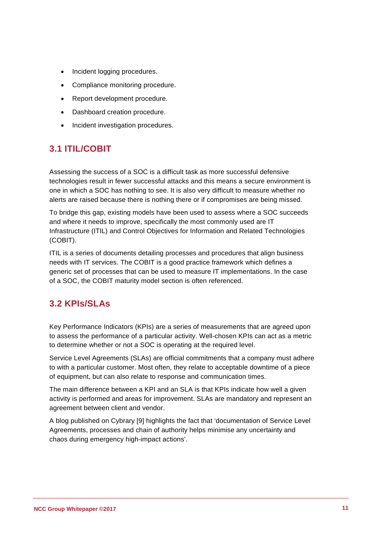- Incident logging procedures.
- Compliance monitoring procedure.
- Report development procedure.
- Dashboard creation procedure.
- Incident investigation procedures.

### **3.1 ITIL/COBIT**

Assessing the success of a SOC is a difficult task as more successful defensive technologies result in fewer successful attacks and this means a secure environment is one in which a SOC has nothing to see. It is also very difficult to measure whether no alerts are raised because there is nothing there or if compromises are being missed.

To bridge this gap, existing models have been used to assess where a SOC succeeds and where it needs to improve, specifically the most commonly used are IT Infrastructure (ITIL) and Control Objectives for Information and Related Technologies (COBIT).

ITIL is a series of documents detailing processes and procedures that align business needs with IT services. The COBIT is a good practice framework which defines a generic set of processes that can be used to measure IT implementations. In the case of a SOC, the COBIT maturity model section is often referenced.

### **3.2 KPIs/SLAs**

Key Performance Indicators (KPIs) are a series of measurements that are agreed upon to assess the performance of a particular activity. Well-chosen KPIs can act as a metric to determine whether or not a SOC is operating at the required level.

Service Level Agreements (SLAs) are official commitments that a company must adhere to with a particular customer. Most often, they relate to acceptable downtime of a piece of equipment, but can also relate to response and communication times.

The main difference between a KPI and an SLA is that KPIs indicate how well a given activity is performed and areas for improvement. SLAs are mandatory and represent an agreement between client and vendor.

<span id="page-10-0"></span>A blog published on Cybrary [9] highlights the fact that 'documentation of Service Level Agreements, processes and chain of authority helps minimise any uncertainty and chaos during emergency high-impact actions'.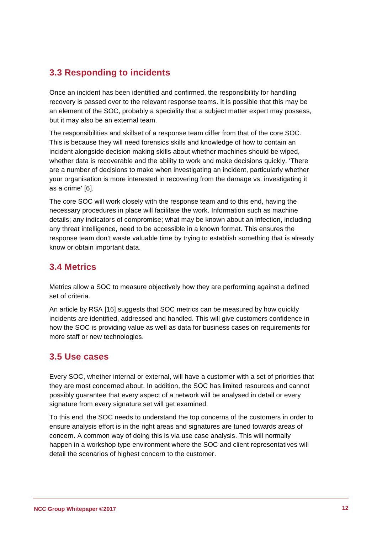### **3.3 Responding to incidents**

Once an incident has been identified and confirmed, the responsibility for handling recovery is passed over to the relevant response teams. It is possible that this may be an element of the SOC, probably a speciality that a subject matter expert may possess, but it may also be an external team.

The responsibilities and skillset of a response team differ from that of the core SOC. This is because they will need forensics skills and knowledge of how to contain an incident alongside decision making skills about whether machines should be wiped, whether data is recoverable and the ability to work and make decisions quickly. 'There are a number of decisions to make when investigating an incident, particularly whether your organisation is more interested in recovering from the damage vs. investigating it as a crime' [6].

The core SOC will work closely with the response team and to this end, having the necessary procedures in place will facilitate the work. Information such as machine details; any indicators of compromise; what may be known about an infection, including any threat intelligence, need to be accessible in a known format. This ensures the response team don't waste valuable time by trying to establish something that is already know or obtain important data.

### **3.4 Metrics**

Metrics allow a SOC to measure objectively how they are performing against a defined set of criteria.

An article by RSA [16] suggests that SOC metrics can be measured by how quickly incidents are identified, addressed and handled. This will give customers confidence in how the SOC is providing value as well as data for business cases on requirements for more staff or new technologies.

### **3.5 Use cases**

Every SOC, whether internal or external, will have a customer with a set of priorities that they are most concerned about. In addition, the SOC has limited resources and cannot possibly guarantee that every aspect of a network will be analysed in detail or every signature from every signature set will get examined.

To this end, the SOC needs to understand the top concerns of the customers in order to ensure analysis effort is in the right areas and signatures are tuned towards areas of concern. A common way of doing this is via use case analysis. This will normally happen in a workshop type environment where the SOC and client representatives will detail the scenarios of highest concern to the customer.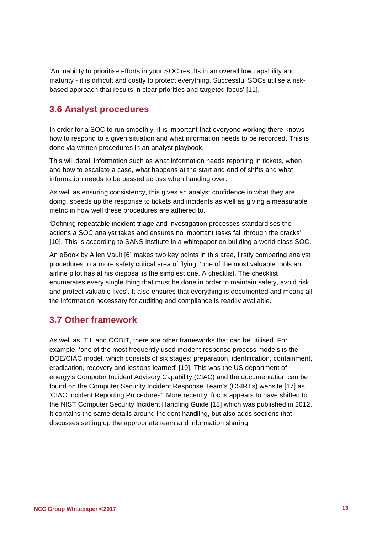'An inability to prioritise efforts in your SOC results in an overall low capability and maturity - it is difficult and costly to protect everything. Successful SOCs utilise a riskbased approach that results in clear priorities and targeted focus' [11].

### **3.6 Analyst procedures**

In order for a SOC to run smoothly, it is important that everyone working there knows how to respond to a given situation and what information needs to be recorded. This is done via written procedures in an analyst playbook.

This will detail information such as what information needs reporting in tickets, when and how to escalate a case, what happens at the start and end of shifts and what information needs to be passed across when handing over.

As well as ensuring consistency, this gives an analyst confidence in what they are doing, speeds up the response to tickets and incidents as well as giving a measurable metric in how well these procedures are adhered to.

'Defining repeatable incident triage and investigation processes standardises the actions a SOC analyst takes and ensures no important tasks fall through the cracks' [10]. This is according to SANS institute in a whitepaper on building a world class SOC.

An eBook by Alien Vault [6] makes two key points in this area, firstly comparing analyst procedures to a more safety critical area of flying: 'one of the most valuable tools an airline pilot has at his disposal is the simplest one. A checklist. The checklist enumerates every single thing that must be done in order to maintain safety, avoid risk and protect valuable lives'. It also ensures that everything is documented and means all the information necessary for auditing and compliance is readily available.

### **3.7 Other framework**

As well as ITIL and COBIT, there are other frameworks that can be utilised. For example, 'one of the most frequently used incident response process models is the DOE/CIAC model, which consists of six stages: preparation, identification, containment, eradication, recovery and lessons learned' [10]. This was the US department of energy's Computer Incident Advisory Capability (CIAC) and the documentation can be found on the Computer Security Incident Response Team's (CSIRTs) website [17] as 'CIAC Incident Reporting Procedures'. More recently, focus appears to have shifted to the NIST Computer Security Incident Handling Guide [18] which was published in 2012. It contains the same details around incident handling, but also adds sections that discusses setting up the appropriate team and information sharing.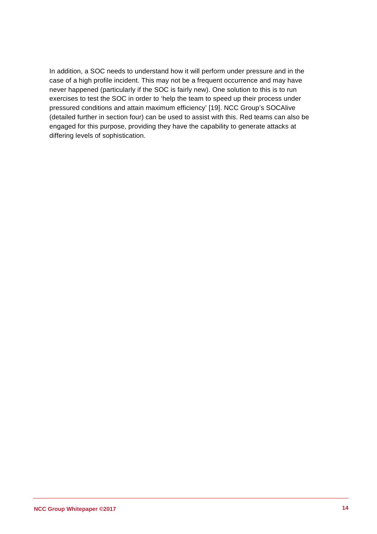In addition, a SOC needs to understand how it will perform under pressure and in the case of a high profile incident. This may not be a frequent occurrence and may have never happened (particularly if the SOC is fairly new). One solution to this is to run exercises to test the SOC in order to 'help the team to speed up their process under pressured conditions and attain maximum efficiency' [19]. NCC Group's SOCAlive (detailed further in section four) can be used to assist with this. Red teams can also be engaged for this purpose, providing they have the capability to generate attacks at differing levels of sophistication.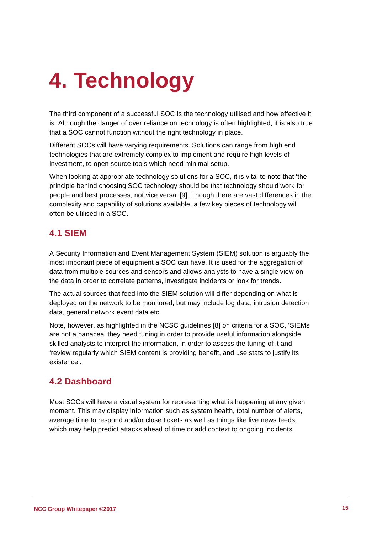# **4. Technology**

The third component of a successful SOC is the technology utilised and how effective it is. Although the danger of over reliance on technology is often highlighted, it is also true that a SOC cannot function without the right technology in place.

Different SOCs will have varying requirements. Solutions can range from high end technologies that are extremely complex to implement and require high levels of investment, to open source tools which need minimal setup.

When looking at appropriate technology solutions for a SOC, it is vital to note that 'the principle behind choosing SOC technology should be that technology should work for people and best processes, not vice versa' [9]. Though there are vast differences in the complexity and capability of solutions available, a few key pieces of technology will often be utilised in a SOC.

### **4.1 SIEM**

A Security Information and Event Management System (SIEM) solution is arguably the most important piece of equipment a SOC can have. It is used for the aggregation of data from multiple sources and sensors and allows analysts to have a single view on the data in order to correlate patterns, investigate incidents or look for trends.

The actual sources that feed into the SIEM solution will differ depending on what is deployed on the network to be monitored, but may include log data, intrusion detection data, general network event data etc.

Note, however, as highlighted in the NCSC guidelines [8] on criteria for a SOC, 'SIEMs are not a panacea' they need tuning in order to provide useful information alongside skilled analysts to interpret the information, in order to assess the tuning of it and 'review regularly which SIEM content is providing benefit, and use stats to justify its existence'.

### **4.2 Dashboard**

Most SOCs will have a visual system for representing what is happening at any given moment. This may display information such as system health, total number of alerts, average time to respond and/or close tickets as well as things like live news feeds, which may help predict attacks ahead of time or add context to ongoing incidents.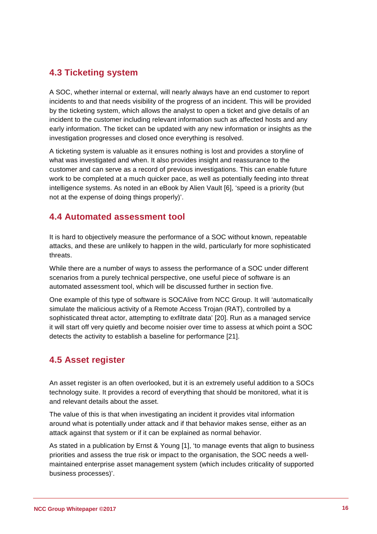### **4.3 Ticketing system**

A SOC, whether internal or external, will nearly always have an end customer to report incidents to and that needs visibility of the progress of an incident. This will be provided by the ticketing system, which allows the analyst to open a ticket and give details of an incident to the customer including relevant information such as affected hosts and any early information. The ticket can be updated with any new information or insights as the investigation progresses and closed once everything is resolved.

A ticketing system is valuable as it ensures nothing is lost and provides a storyline of what was investigated and when. It also provides insight and reassurance to the customer and can serve as a record of previous investigations. This can enable future work to be completed at a much quicker pace, as well as potentially feeding into threat intelligence systems. As noted in an eBook by Alien Vault [6], 'speed is a priority (but not at the expense of doing things properly)'.

### **4.4 Automated assessment tool**

It is hard to objectively measure the performance of a SOC without known, repeatable attacks, and these are unlikely to happen in the wild, particularly for more sophisticated threats.

While there are a number of ways to assess the performance of a SOC under different scenarios from a purely technical perspective, one useful piece of software is an automated assessment tool, which will be discussed further in section five.

One example of this type of software is SOCAlive from NCC Group. It will 'automatically simulate the malicious activity of a Remote Access Trojan (RAT), controlled by a sophisticated threat actor, attempting to exfiltrate data' [20]. Run as a managed service it will start off very quietly and become noisier over time to assess at which point a SOC detects the activity to establish a baseline for performance [21].

### **4.5 Asset register**

An asset register is an often overlooked, but it is an extremely useful addition to a SOCs technology suite. It provides a record of everything that should be monitored, what it is and relevant details about the asset.

The value of this is that when investigating an incident it provides vital information around what is potentially under attack and if that behavior makes sense, either as an attack against that system or if it can be explained as normal behavior.

As stated in a publication by Ernst & Young [1], 'to manage events that align to business priorities and assess the true risk or impact to the organisation, the SOC needs a wellmaintained enterprise asset management system (which includes criticality of supported business processes)'.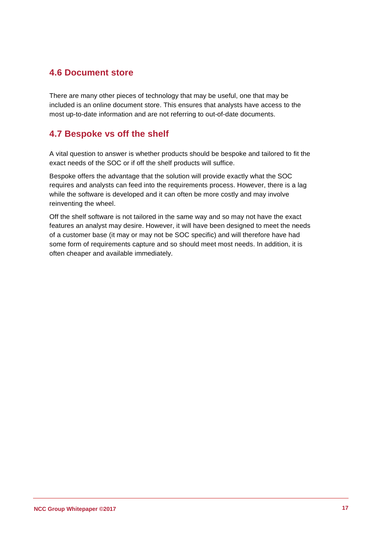### **4.6 Document store**

There are many other pieces of technology that may be useful, one that may be included is an online document store. This ensures that analysts have access to the most up-to-date information and are not referring to out-of-date documents.

### **4.7 Bespoke vs off the shelf**

A vital question to answer is whether products should be bespoke and tailored to fit the exact needs of the SOC or if off the shelf products will suffice.

Bespoke offers the advantage that the solution will provide exactly what the SOC requires and analysts can feed into the requirements process. However, there is a lag while the software is developed and it can often be more costly and may involve reinventing the wheel.

Off the shelf software is not tailored in the same way and so may not have the exact features an analyst may desire. However, it will have been designed to meet the needs of a customer base (it may or may not be SOC specific) and will therefore have had some form of requirements capture and so should meet most needs. In addition, it is often cheaper and available immediately.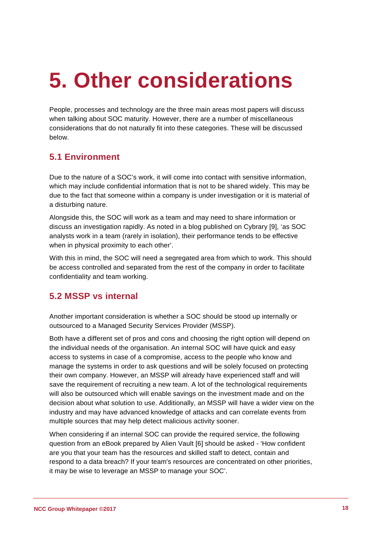## **5. Other considerations**

People, processes and technology are the three main areas most papers will discuss when talking about SOC maturity. However, there are a number of miscellaneous considerations that do not naturally fit into these categories. These will be discussed below.

### **5.1 Environment**

Due to the nature of a SOC's work, it will come into contact with sensitive information, which may include confidential information that is not to be shared widely. This may be due to the fact that someone within a company is under investigation or it is material of a disturbing nature.

Alongside this, the SOC will work as a team and may need to share information or discuss an investigation rapidly. As noted in a blog published on Cybrary [9], 'as SOC analysts work in a team (rarely in isolation), their performance tends to be effective when in physical proximity to each other'.

With this in mind, the SOC will need a segregated area from which to work. This should be access controlled and separated from the rest of the company in order to facilitate confidentiality and team working.

### **5.2 MSSP vs internal**

Another important consideration is whether a SOC should be stood up internally or outsourced to a Managed Security Services Provider (MSSP).

Both have a different set of pros and cons and choosing the right option will depend on the individual needs of the organisation. An internal SOC will have quick and easy access to systems in case of a compromise, access to the people who know and manage the systems in order to ask questions and will be solely focused on protecting their own company. However, an MSSP will already have experienced staff and will save the requirement of recruiting a new team. A lot of the technological requirements will also be outsourced which will enable savings on the investment made and on the decision about what solution to use. Additionally, an MSSP will have a wider view on the industry and may have advanced knowledge of attacks and can correlate events from multiple sources that may help detect malicious activity sooner.

When considering if an internal SOC can provide the required service, the following question from an eBook prepared by Alien Vault [6] should be asked - 'How confident are you that your team has the resources and skilled staff to detect, contain and respond to a data breach? If your team's resources are concentrated on other priorities, it may be wise to leverage an MSSP to manage your SOC'.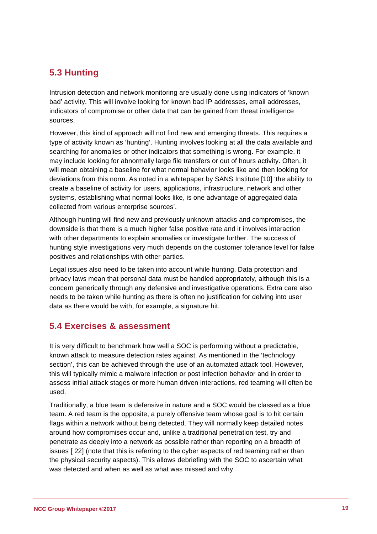### **5.3 Hunting**

Intrusion detection and network monitoring are usually done using indicators of 'known bad' activity. This will involve looking for known bad IP addresses, email addresses, indicators of compromise or other data that can be gained from threat intelligence sources.

However, this kind of approach will not find new and emerging threats. This requires a type of activity known as 'hunting'. Hunting involves looking at all the data available and searching for anomalies or other indicators that something is wrong. For example, it may include looking for abnormally large file transfers or out of hours activity. Often, it will mean obtaining a baseline for what normal behavior looks like and then looking for deviations from this norm. As noted in a whitepaper by SANS Institute [10] 'the ability to create a baseline of activity for users, applications, infrastructure, network and other systems, establishing what normal looks like, is one advantage of aggregated data collected from various enterprise sources'.

Although hunting will find new and previously unknown attacks and compromises, the downside is that there is a much higher false positive rate and it involves interaction with other departments to explain anomalies or investigate further. The success of hunting style investigations very much depends on the customer tolerance level for false positives and relationships with other parties.

Legal issues also need to be taken into account while hunting. Data protection and privacy laws mean that personal data must be handled appropriately, although this is a concern generically through any defensive and investigative operations. Extra care also needs to be taken while hunting as there is often no justification for delving into user data as there would be with, for example, a signature hit.

### **5.4 Exercises & assessment**

It is very difficult to benchmark how well a SOC is performing without a predictable, known attack to measure detection rates against. As mentioned in the 'technology section', this can be achieved through the use of an automated attack tool. However, this will typically mimic a malware infection or post infection behavior and in order to assess initial attack stages or more human driven interactions, red teaming will often be used.

Traditionally, a blue team is defensive in nature and a SOC would be classed as a blue team. A red team is the opposite, a purely offensive team whose goal is to hit certain flags within a network without being detected. They will normally keep detailed notes around how compromises occur and, unlike a traditional penetration test, try and penetrate as deeply into a network as possible rather than reporting on a breadth of issues [ 22] (note that this is referring to the cyber aspects of red teaming rather than the physical security aspects). This allows debriefing with the SOC to ascertain what was detected and when as well as what was missed and why.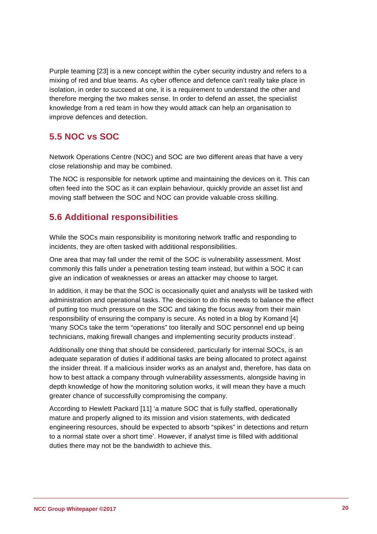Purple teaming [23] is a new concept within the cyber security industry and refers to a mixing of red and blue teams. As cyber offence and defence can't really take place in isolation, in order to succeed at one, it is a requirement to understand the other and therefore merging the two makes sense. In order to defend an asset, the specialist knowledge from a red team in how they would attack can help an organisation to improve defences and detection.

### **5.5 NOC vs SOC**

Network Operations Centre (NOC) and SOC are two different areas that have a very close relationship and may be combined.

The NOC is responsible for network uptime and maintaining the devices on it. This can often feed into the SOC as it can explain behaviour, quickly provide an asset list and moving staff between the SOC and NOC can provide valuable cross skilling.

### **5.6 Additional responsibilities**

While the SOCs main responsibility is monitoring network traffic and responding to incidents, they are often tasked with additional responsibilities.

One area that may fall under the remit of the SOC is vulnerability assessment. Most commonly this falls under a penetration testing team instead, but within a SOC it can give an indication of weaknesses or areas an attacker may choose to target.

In addition, it may be that the SOC is occasionally quiet and analysts will be tasked with administration and operational tasks. The decision to do this needs to balance the effect of putting too much pressure on the SOC and taking the focus away from their main responsibility of ensuring the company is secure. As noted in a blog by Komand [4] 'many SOCs take the term "operations" too literally and SOC personnel end up being technicians, making firewall changes and implementing security products instead'.

Additionally one thing that should be considered, particularly for internal SOCs, is an adequate separation of duties if additional tasks are being allocated to protect against the insider threat. If a malicious insider works as an analyst and, therefore, has data on how to best attack a company through vulnerability assessments, alongside having in depth knowledge of how the monitoring solution works, it will mean they have a much greater chance of successfully compromising the company.

According to Hewlett Packard [11] 'a mature SOC that is fully staffed, operationally mature and properly aligned to its mission and vision statements, with dedicated engineering resources, should be expected to absorb "spikes" in detections and return to a normal state over a short time'. However, if analyst time is filled with additional duties there may not be the bandwidth to achieve this.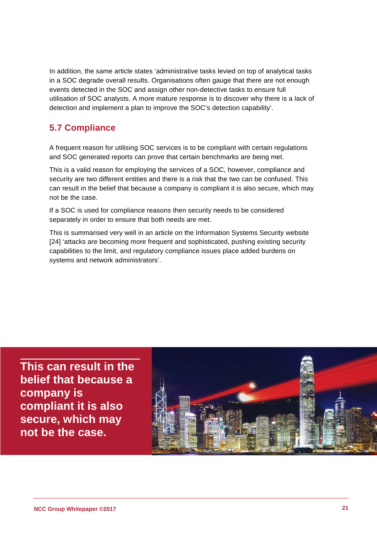In addition, the same article states 'administrative tasks levied on top of analytical tasks in a SOC degrade overall results. Organisations often gauge that there are not enough events detected in the SOC and assign other non-detective tasks to ensure full utilisation of SOC analysts. A more mature response is to discover why there is a lack of detection and implement a plan to improve the SOC's detection capability'.

### **5.7 Compliance**

A frequent reason for utilising SOC services is to be compliant with certain regulations and SOC generated reports can prove that certain benchmarks are being met.

This is a valid reason for employing the services of a SOC, however, compliance and security are two different entities and there is a risk that the two can be confused. This can result in the belief that because a company is compliant it is also secure, which may not be the case.

If a SOC is used for compliance reasons then security needs to be considered separately in order to ensure that both needs are met.

This is summarised very well in an article on the Information Systems Security website [24] 'attacks are becoming more frequent and sophisticated, pushing existing security capabilities to the limit, and regulatory compliance issues place added burdens on systems and network administrators'.

**This can result in the belief that because a company is compliant it is also secure, which may not be the case.**

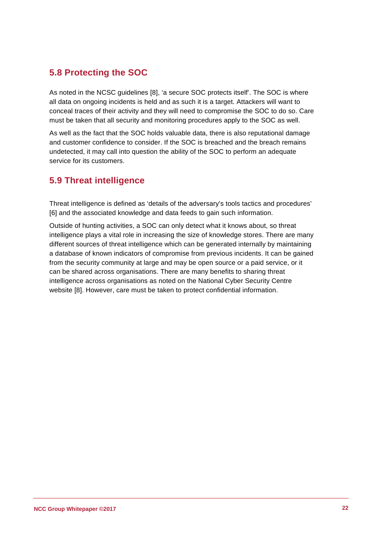### **5.8 Protecting the SOC**

As noted in the NCSC guidelines [8], 'a secure SOC protects itself'. The SOC is where all data on ongoing incidents is held and as such it is a target. Attackers will want to conceal traces of their activity and they will need to compromise the SOC to do so. Care must be taken that all security and monitoring procedures apply to the SOC as well.

As well as the fact that the SOC holds valuable data, there is also reputational damage and customer confidence to consider. If the SOC is breached and the breach remains undetected, it may call into question the ability of the SOC to perform an adequate service for its customers.

### **5.9 Threat intelligence**

Threat intelligence is defined as 'details of the adversary's tools tactics and procedures' [6] and the associated knowledge and data feeds to gain such information.

Outside of hunting activities, a SOC can only detect what it knows about, so threat intelligence plays a vital role in increasing the size of knowledge stores. There are many different sources of threat intelligence which can be generated internally by maintaining a database of known indicators of compromise from previous incidents. It can be gained from the security community at large and may be open source or a paid service, or it can be shared across organisations. There are many benefits to sharing threat intelligence across organisations as noted on the National Cyber Security Centre website [8]. However, care must be taken to protect confidential information.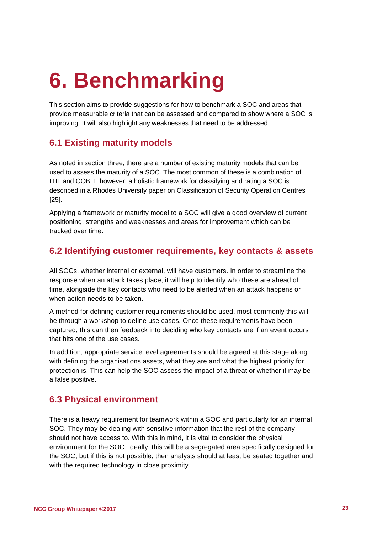## **6. Benchmarking**

This section aims to provide suggestions for how to benchmark a SOC and areas that provide measurable criteria that can be assessed and compared to show where a SOC is improving. It will also highlight any weaknesses that need to be addressed.

### **6.1 Existing maturity models**

As noted in section three, there are a number of existing maturity models that can be used to assess the maturity of a SOC. The most common of these is a combination of ITIL and COBIT, however, a holistic framework for classifying and rating a SOC is described in a Rhodes University paper on Classification of Security Operation Centres [25].

Applying a framework or maturity model to a SOC will give a good overview of current positioning, strengths and weaknesses and areas for improvement which can be tracked over time.

### **6.2 Identifying customer requirements, key contacts & assets**

All SOCs, whether internal or external, will have customers. In order to streamline the response when an attack takes place, it will help to identify who these are ahead of time, alongside the key contacts who need to be alerted when an attack happens or when action needs to be taken.

A method for defining customer requirements should be used, most commonly this will be through a workshop to define use cases. Once these requirements have been captured, this can then feedback into deciding who key contacts are if an event occurs that hits one of the use cases.

In addition, appropriate service level agreements should be agreed at this stage along with defining the organisations assets, what they are and what the highest priority for protection is. This can help the SOC assess the impact of a threat or whether it may be a false positive.

### **6.3 Physical environment**

There is a heavy requirement for teamwork within a SOC and particularly for an internal SOC. They may be dealing with sensitive information that the rest of the company should not have access to. With this in mind, it is vital to consider the physical environment for the SOC. Ideally, this will be a segregated area specifically designed for the SOC, but if this is not possible, then analysts should at least be seated together and with the required technology in close proximity.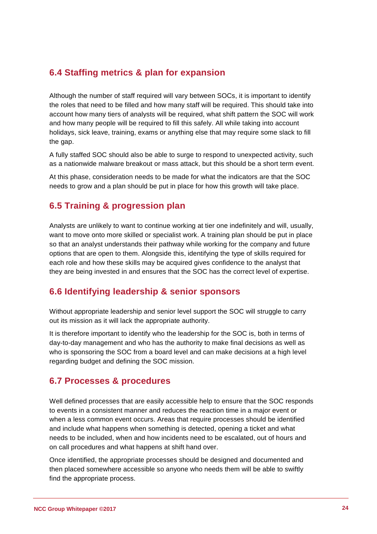### **6.4 Staffing metrics & plan for expansion**

Although the number of staff required will vary between SOCs, it is important to identify the roles that need to be filled and how many staff will be required. This should take into account how many tiers of analysts will be required, what shift pattern the SOC will work and how many people will be required to fill this safely. All while taking into account holidays, sick leave, training, exams or anything else that may require some slack to fill the gap.

A fully staffed SOC should also be able to surge to respond to unexpected activity, such as a nationwide malware breakout or mass attack, but this should be a short term event.

At this phase, consideration needs to be made for what the indicators are that the SOC needs to grow and a plan should be put in place for how this growth will take place.

### **6.5 Training & progression plan**

Analysts are unlikely to want to continue working at tier one indefinitely and will, usually, want to move onto more skilled or specialist work. A training plan should be put in place so that an analyst understands their pathway while working for the company and future options that are open to them. Alongside this, identifying the type of skills required for each role and how these skills may be acquired gives confidence to the analyst that they are being invested in and ensures that the SOC has the correct level of expertise.

### **6.6 Identifying leadership & senior sponsors**

Without appropriate leadership and senior level support the SOC will struggle to carry out its mission as it will lack the appropriate authority.

It is therefore important to identify who the leadership for the SOC is, both in terms of day-to-day management and who has the authority to make final decisions as well as who is sponsoring the SOC from a board level and can make decisions at a high level regarding budget and defining the SOC mission.

### **6.7 Processes & procedures**

Well defined processes that are easily accessible help to ensure that the SOC responds to events in a consistent manner and reduces the reaction time in a major event or when a less common event occurs. Areas that require processes should be identified and include what happens when something is detected, opening a ticket and what needs to be included, when and how incidents need to be escalated, out of hours and on call procedures and what happens at shift hand over.

Once identified, the appropriate processes should be designed and documented and then placed somewhere accessible so anyone who needs them will be able to swiftly find the appropriate process.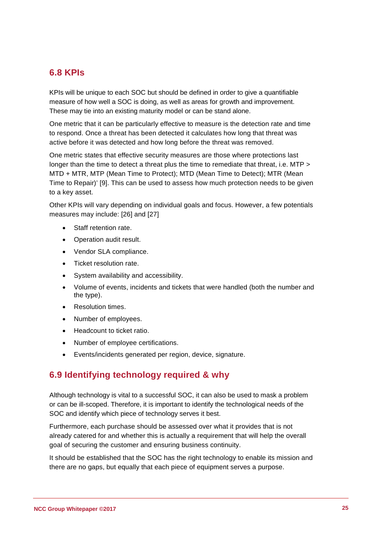### **6.8 KPIs**

KPIs will be unique to each SOC but should be defined in order to give a quantifiable measure of how well a SOC is doing, as well as areas for growth and improvement. These may tie into an existing maturity model or can be stand alone.

One metric that it can be particularly effective to measure is the detection rate and time to respond. Once a threat has been detected it calculates how long that threat was active before it was detected and how long before the threat was removed.

One metric states that effective security measures are those where protections last longer than the time to detect a threat plus the time to remediate that threat, i.e. MTP > MTD + MTR, MTP (Mean Time to Protect); MTD (Mean Time to Detect); MTR (Mean Time to Repair)' [9]. This can be used to assess how much protection needs to be given to a key asset.

Other KPIs will vary depending on individual goals and focus. However, a few potentials measures may include: [26] and [27]

- Staff retention rate.
- Operation audit result.
- Vendor SLA compliance.
- Ticket resolution rate.
- System availability and accessibility.
- Volume of events, incidents and tickets that were handled (both the number and the type).
- Resolution times.
- Number of employees.
- Headcount to ticket ratio.
- Number of employee certifications.
- Events/incidents generated per region, device, signature.

### **6.9 Identifying technology required & why**

Although technology is vital to a successful SOC, it can also be used to mask a problem or can be ill-scoped. Therefore, it is important to identify the technological needs of the SOC and identify which piece of technology serves it best.

Furthermore, each purchase should be assessed over what it provides that is not already catered for and whether this is actually a requirement that will help the overall goal of securing the customer and ensuring business continuity.

It should be established that the SOC has the right technology to enable its mission and there are no gaps, but equally that each piece of equipment serves a purpose.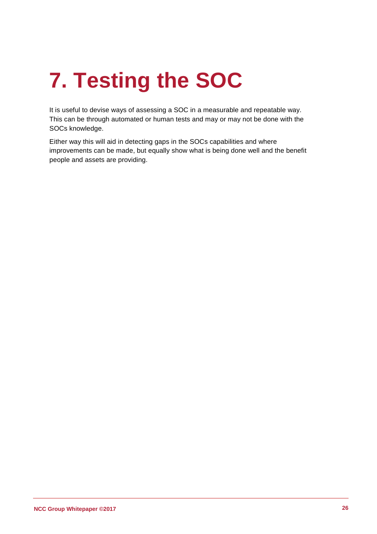# **7. Testing the SOC**

It is useful to devise ways of assessing a SOC in a measurable and repeatable way. This can be through automated or human tests and may or may not be done with the SOCs knowledge.

Either way this will aid in detecting gaps in the SOCs capabilities and where improvements can be made, but equally show what is being done well and the benefit people and assets are providing.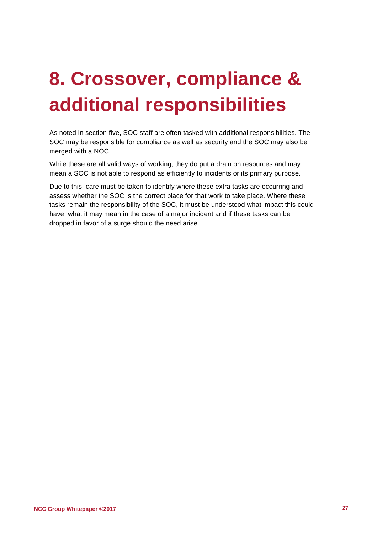## **8. Crossover, compliance & additional responsibilities**

As noted in section five, SOC staff are often tasked with additional responsibilities. The SOC may be responsible for compliance as well as security and the SOC may also be merged with a NOC.

While these are all valid ways of working, they do put a drain on resources and may mean a SOC is not able to respond as efficiently to incidents or its primary purpose.

Due to this, care must be taken to identify where these extra tasks are occurring and assess whether the SOC is the correct place for that work to take place. Where these tasks remain the responsibility of the SOC, it must be understood what impact this could have, what it may mean in the case of a major incident and if these tasks can be dropped in favor of a surge should the need arise.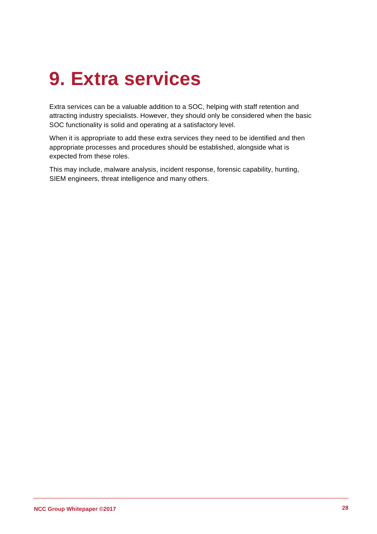### **9. Extra services**

Extra services can be a valuable addition to a SOC, helping with staff retention and attracting industry specialists. However, they should only be considered when the basic SOC functionality is solid and operating at a satisfactory level.

When it is appropriate to add these extra services they need to be identified and then appropriate processes and procedures should be established, alongside what is expected from these roles.

This may include, malware analysis, incident response, forensic capability, hunting, SIEM engineers, threat intelligence and many others.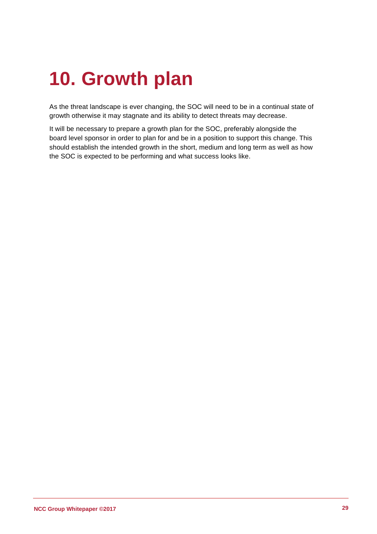### **10. Growth plan**

As the threat landscape is ever changing, the SOC will need to be in a continual state of growth otherwise it may stagnate and its ability to detect threats may decrease.

It will be necessary to prepare a growth plan for the SOC, preferably alongside the board level sponsor in order to plan for and be in a position to support this change. This should establish the intended growth in the short, medium and long term as well as how the SOC is expected to be performing and what success looks like.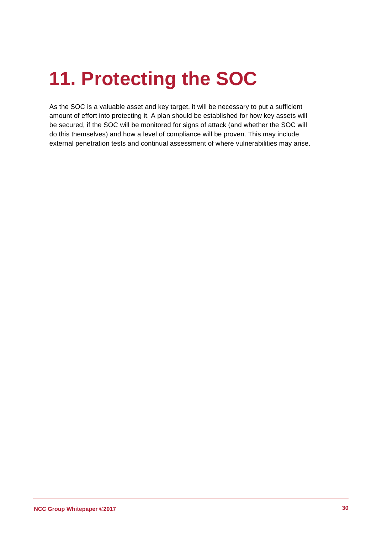### **11. Protecting the SOC**

As the SOC is a valuable asset and key target, it will be necessary to put a sufficient amount of effort into protecting it. A plan should be established for how key assets will be secured, if the SOC will be monitored for signs of attack (and whether the SOC will do this themselves) and how a level of compliance will be proven. This may include external penetration tests and continual assessment of where vulnerabilities may arise.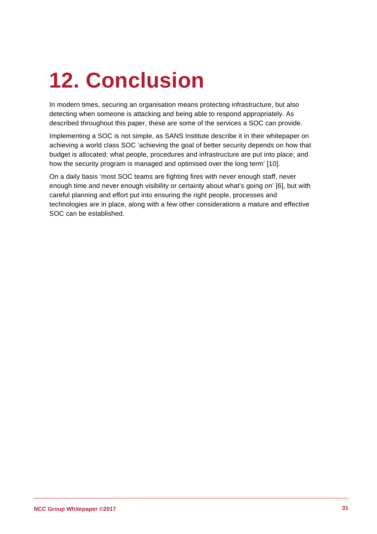# <span id="page-30-0"></span>**12. Conclusion**

In modern times, securing an organisation means protecting infrastructure, but also detecting when someone is attacking and being able to respond appropriately. As described throughout this paper, these are some of the services a SOC can provide.

Implementing a SOC is not simple, as SANS Institute describe it in their whitepaper on achieving a world class SOC 'achieving the goal of better security depends on how that budget is allocated; what people, procedures and infrastructure are put into place; and how the security program is managed and optimised over the long term' [10].

On a daily basis 'most SOC teams are fighting fires with never enough staff, never enough time and never enough visibility or certainty about what's going on' [6], but with careful planning and effort put into ensuring the right people, processes and technologies are in place, along with a few other considerations a mature and effective SOC can be established.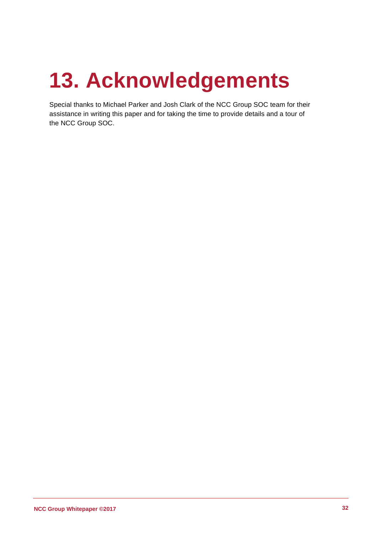# **13. Acknowledgements**

Special thanks to Michael Parker and Josh Clark of the NCC Group SOC team for their assistance in writing this paper and for taking the time to provide details and a tour of the NCC Group SOC.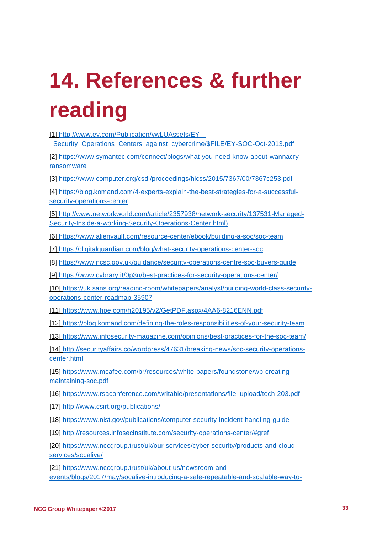# **14. References & further reading**

| [1] http://www.ey.com/Publication/vwLUAssets/EY -<br>Security Operations Centers against cybercrime/\$FILE/EY-SOC-Oct-2013.pdf                 |
|------------------------------------------------------------------------------------------------------------------------------------------------|
| [2] https://www.symantec.com/connect/blogs/what-you-need-know-about-wannacry-<br>ransomware                                                    |
| [3] https://www.computer.org/csdl/proceedings/hicss/2015/7367/00/7367c253.pdf                                                                  |
| [4] https://blog.komand.com/4-experts-explain-the-best-strategies-for-a-successful-<br>security-operations-center                              |
| [5] http://www.networkworld.com/article/2357938/network-security/137531-Managed-<br>Security-Inside-a-working-Security-Operations-Center.html) |
| [6] https://www.alienvault.com/resource-center/ebook/building-a-soc/soc-team                                                                   |
| [7] https://digitalguardian.com/blog/what-security-operations-center-soc                                                                       |
| [8] https://www.ncsc.gov.uk/guidance/security-operations-centre-soc-buyers-guide                                                               |
| [9] https://www.cybrary.it/0p3n/best-practices-for-security-operations-center/                                                                 |
| [10] https://uk.sans.org/reading-room/whitepapers/analyst/building-world-class-security-<br>operations-center-roadmap-35907                    |
| [11] https://www.hpe.com/h20195/v2/GetPDF.aspx/4AA6-8216ENN.pdf                                                                                |
| [12] https://blog.komand.com/defining-the-roles-responsibilities-of-your-security-team                                                         |
| [13] https://www.infosecurity-magazine.com/opinions/best-practices-for-the-soc-team/                                                           |
| [14] http://securityaffairs.co/wordpress/47631/breaking-news/soc-security-operations-<br>center.html                                           |
| [15] https://www.mcafee.com/br/resources/white-papers/foundstone/wp-creating-<br>maintaining-soc.pdf                                           |
| [16] https://www.rsaconference.com/writable/presentations/file_upload/tech-203.pdf                                                             |
| [17] http://www.csirt.org/publications/                                                                                                        |
| [18] https://www.nist.gov/publications/computer-security-incident-handling-guide                                                               |
| [19] http://resources.infosecinstitute.com/security-operations-center/#gref                                                                    |
| [20] https://www.nccgroup.trust/uk/our-services/cyber-security/products-and-cloud-<br>services/socalive/                                       |

[21] [https://www.nccgroup.trust/uk/about-us/newsroom-and](https://www.nccgroup.trust/uk/about-us/newsroom-and-events/blogs/2017/may/socalive-introducing-a-safe-repeatable-and-scalable-way-to-assess-security-operations-centre-soc-efficacy/)[events/blogs/2017/may/socalive-introducing-a-safe-repeatable-and-scalable-way-to-](https://www.nccgroup.trust/uk/about-us/newsroom-and-events/blogs/2017/may/socalive-introducing-a-safe-repeatable-and-scalable-way-to-assess-security-operations-centre-soc-efficacy/)